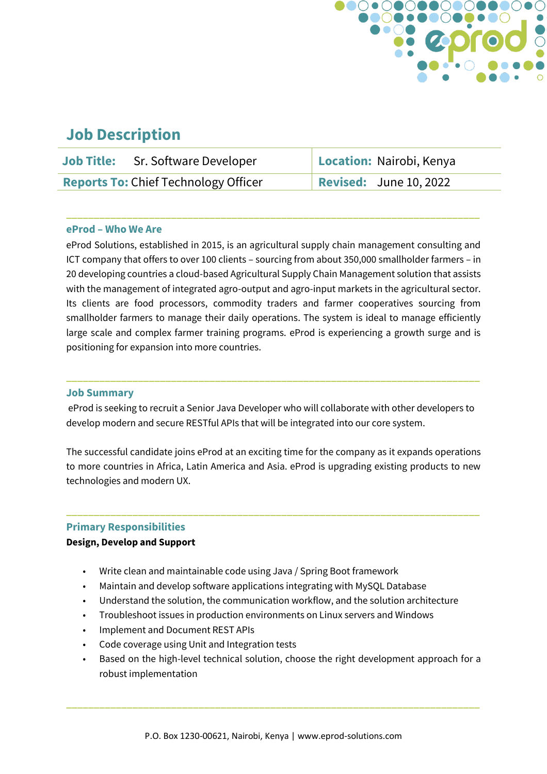

# **Job Description**

|                                             | <b>Job Title:</b> Sr. Software Developer | Location: Nairobi, Kenya      |
|---------------------------------------------|------------------------------------------|-------------------------------|
| <b>Reports To: Chief Technology Officer</b> |                                          | <b>Revised:</b> June 10, 2022 |

**\_\_\_\_\_\_\_\_\_\_\_\_\_\_\_\_\_\_\_\_\_\_\_\_\_\_\_\_\_\_\_\_\_\_\_\_\_\_\_\_\_\_\_\_\_\_\_\_\_\_\_\_\_\_\_\_\_\_\_\_\_\_\_\_\_\_\_\_\_\_\_\_\_\_\_**

### **eProd – Who We Are**

eProd Solutions, established in 2015, is an agricultural supply chain management consulting and ICT company that offers to over 100 clients – sourcing from about 350,000 smallholder farmers – in 20 developing countries a cloud-based Agricultural Supply Chain Management solution that assists with the management of integrated agro-output and agro-input markets in the agricultural sector. Its clients are food processors, commodity traders and farmer cooperatives sourcing from smallholder farmers to manage their daily operations. The system is ideal to manage efficiently large scale and complex farmer training programs. eProd is experiencing a growth surge and is positioning for expansion into more countries.

#### **Job Summary**

eProd is seeking to recruit a Senior Java Developer who will collaborate with other developers to develop modern and secure RESTful APIs that will be integrated into our core system.

**\_\_\_\_\_\_\_\_\_\_\_\_\_\_\_\_\_\_\_\_\_\_\_\_\_\_\_\_\_\_\_\_\_\_\_\_\_\_\_\_\_\_\_\_\_\_\_\_\_\_\_\_\_\_\_\_\_\_\_\_\_\_\_\_\_\_\_\_\_\_\_\_\_\_\_**

The successful candidate joins eProd at an exciting time for the company as it expands operations to more countries in Africa, Latin America and Asia. eProd is upgrading existing products to new technologies and modern UX.

**\_\_\_\_\_\_\_\_\_\_\_\_\_\_\_\_\_\_\_\_\_\_\_\_\_\_\_\_\_\_\_\_\_\_\_\_\_\_\_\_\_\_\_\_\_\_\_\_\_\_\_\_\_\_\_\_\_\_\_\_\_\_\_\_\_\_\_\_\_\_\_\_\_\_\_**

#### **Primary Responsibilities**

#### **Design, Develop and Support**

- Write clean and maintainable code using Java / Spring Boot framework
- Maintain and develop software applications integrating with MySQL Database
- Understand the solution, the communication workflow, and the solution architecture
- Troubleshoot issues in production environments on Linux servers and Windows
- Implement and Document REST APIs
- Code coverage using Unit and Integration tests
- Based on the high-level technical solution, choose the right development approach for a robust implementation

**\_\_\_\_\_\_\_\_\_\_\_\_\_\_\_\_\_\_\_\_\_\_\_\_\_\_\_\_\_\_\_\_\_\_\_\_\_\_\_\_\_\_\_\_\_\_\_\_\_\_\_\_\_\_\_\_\_\_\_\_\_\_\_\_\_\_\_\_\_\_\_\_\_\_\_**